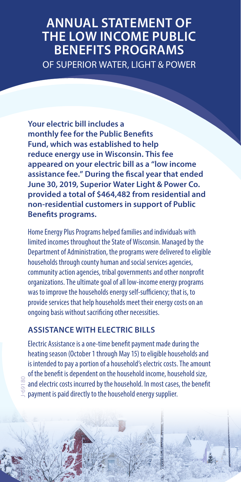# **ANNUAL STATEMENT OF THE LOW INCOME PUBLIC BENEFITS PROGRAMS** OF SUPERIOR WATER, LIGHT & POWER

**Your electric bill includes a monthly fee for the Public Benefits Fund, which was established to help reduce energy use in Wisconsin. This fee appeared on your electric bill as a "low income assistance fee." During the fiscal year that ended June 30, 2019, Superior Water Light & Power Co. provided a total of \$464,482 from residential and non-residential customers in support of Public Benefits programs.**

Home Energy Plus Programs helped families and individuals with limited incomes throughout the State of Wisconsin. Managed by the Department of Administration, the programs were delivered to eligible households through county human and social services agencies, community action agencies, tribal governments and other nonprofit organizations. The ultimate goal of all low-income energy programs was to improve the households energy self-sufficiency; that is, to provide services that help households meet their energy costs on an ongoing basis without sacrificing other necessities.

## **ASSISTANCE WITH ELECTRIC BILLS**

J-69180

Electric Assistance is a one-time benefit payment made during the heating season (October 1 through May 15) to eligible households and is intended to pay a portion of a household's electric costs. The amount of the benefit is dependent on the household income, household size, and electric costs incurred by the household. In most cases, the benefit payment is paid directly to the household energy supplier.